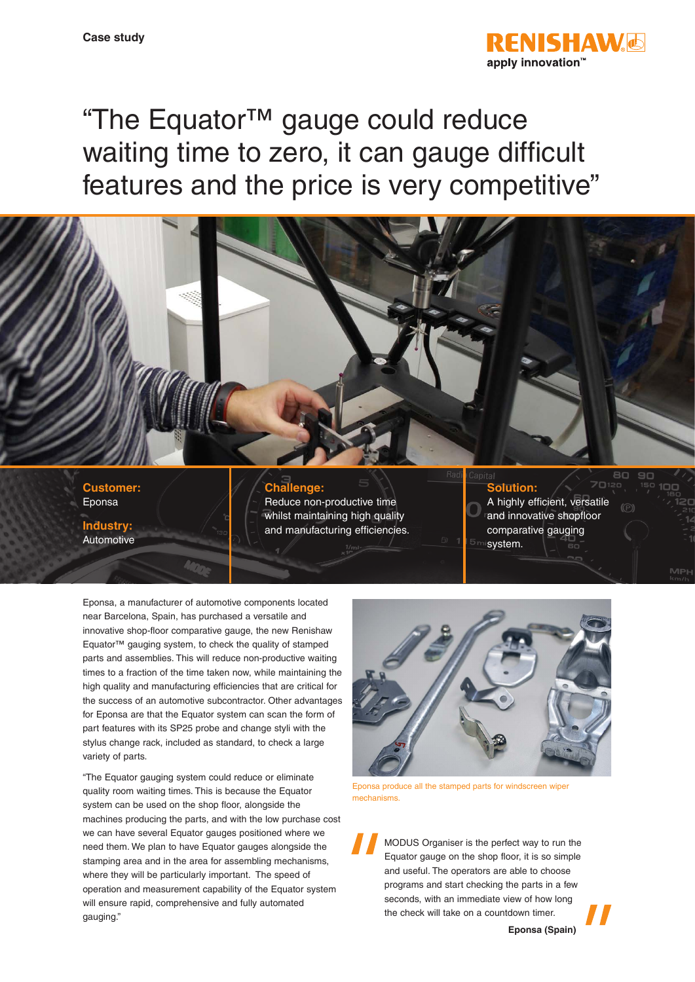

"The Equator™ gauge could reduce waiting time to zero, it can gauge difficult features and the price is very competitive"



**Customer:** Eponsa

**Industry: Automotive** 

## **Challenge:**

Reduce non-productive time whilst maintaining high quality and manufacturing efficiencies.

- **Solution:** A highly efficient, versatile and innovative shopfloor
- comparative gauging system.

Eponsa, a manufacturer of automotive components located near Barcelona, Spain, has purchased a versatile and innovative shop-floor comparative gauge, the new Renishaw Equator™ gauging system, to check the quality of stamped parts and assemblies. This will reduce non-productive waiting times to a fraction of the time taken now, while maintaining the high quality and manufacturing efficiencies that are critical for the success of an automotive subcontractor. Other advantages for Eponsa are that the Equator system can scan the form of part features with its SP25 probe and change styli with the stylus change rack, included as standard, to check a large variety of parts.

"The Equator gauging system could reduce or eliminate quality room waiting times. This is because the Equator system can be used on the shop floor, alongside the machines producing the parts, and with the low purchase cost we can have several Equator gauges positioned where we need them. We plan to have Equator gauges alongside the stamping area and in the area for assembling mechanisms, where they will be particularly important. The speed of operation and measurement capability of the Equator system will ensure rapid, comprehensive and fully automated gauging."



Eponsa produce all the stamped parts for windscreen wiper mechanisms.

MODUS Organiser is the perfect way to run the Equator gauge on the shop floor, it is so simple and useful. The operators are able to choose programs and start checking the parts in a few seconds, with an immediate view of how long the check will take on a countdown timer.

**Eponsa (Spain)**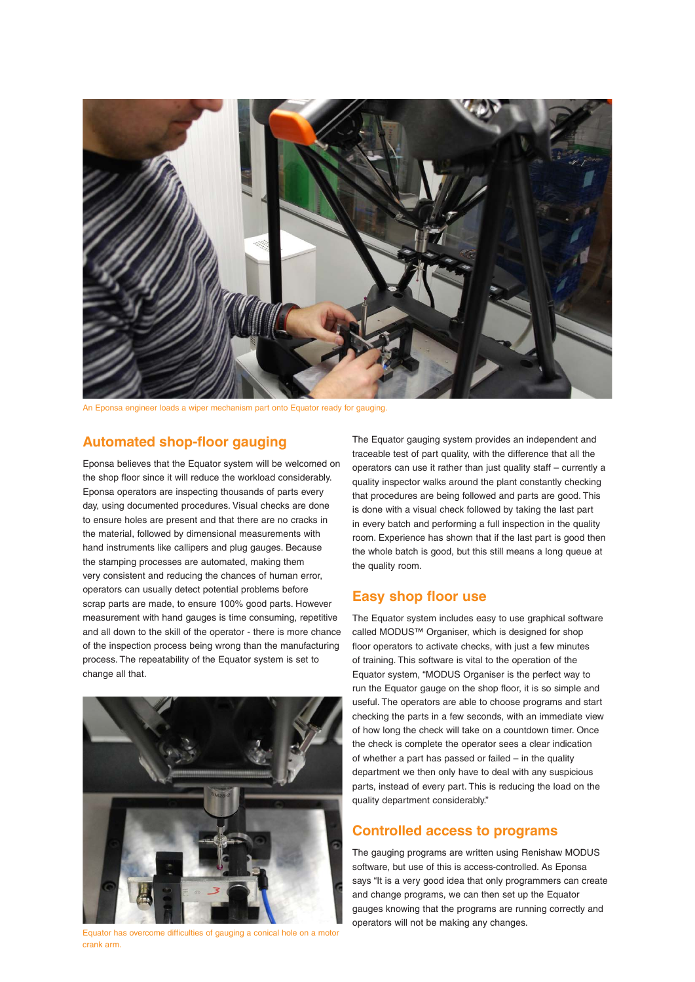

An Eponsa engineer loads a wiper mechanism part onto Equator ready for gauging.

## **Automated shop-floor gauging**

Eponsa believes that the Equator system will be welcomed on the shop floor since it will reduce the workload considerably. Eponsa operators are inspecting thousands of parts every day, using documented procedures. Visual checks are done to ensure holes are present and that there are no cracks in the material, followed by dimensional measurements with hand instruments like callipers and plug gauges. Because the stamping processes are automated, making them very consistent and reducing the chances of human error, operators can usually detect potential problems before scrap parts are made, to ensure 100% good parts. However measurement with hand gauges is time consuming, repetitive and all down to the skill of the operator - there is more chance of the inspection process being wrong than the manufacturing process. The repeatability of the Equator system is set to change all that.



Equator has overcome difficulties of gauging a conical hole on a motor crank arm.

The Equator gauging system provides an independent and traceable test of part quality, with the difference that all the operators can use it rather than just quality staff – currently a quality inspector walks around the plant constantly checking that procedures are being followed and parts are good. This is done with a visual check followed by taking the last part in every batch and performing a full inspection in the quality room. Experience has shown that if the last part is good then the whole batch is good, but this still means a long queue at the quality room.

## **Easy shop floor use**

The Equator system includes easy to use graphical software called MODUS™ Organiser, which is designed for shop floor operators to activate checks, with just a few minutes of training. This software is vital to the operation of the Equator system, "MODUS Organiser is the perfect way to run the Equator gauge on the shop floor, it is so simple and useful. The operators are able to choose programs and start checking the parts in a few seconds, with an immediate view of how long the check will take on a countdown timer. Once the check is complete the operator sees a clear indication of whether a part has passed or failed – in the quality department we then only have to deal with any suspicious parts, instead of every part. This is reducing the load on the quality department considerably."

### **Controlled access to programs**

The gauging programs are written using Renishaw MODUS software, but use of this is access-controlled. As Eponsa says "It is a very good idea that only programmers can create and change programs, we can then set up the Equator gauges knowing that the programs are running correctly and operators will not be making any changes.